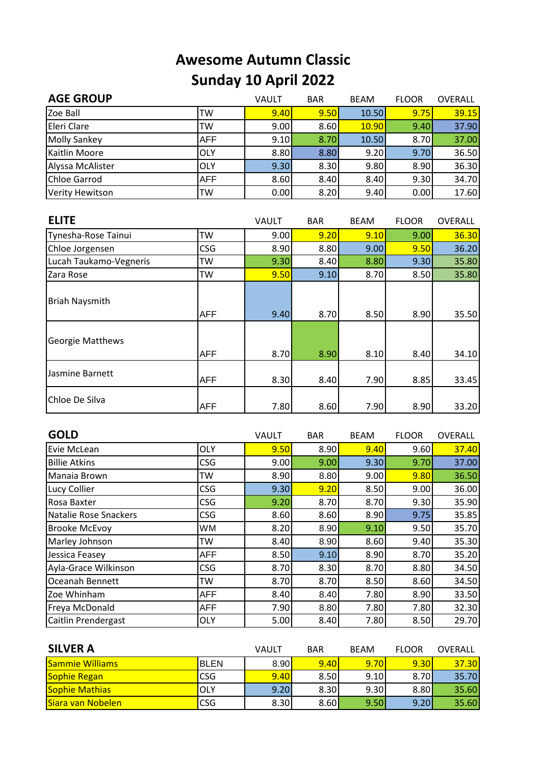## **Awesome Autumn Classic Sunday 10 April 2022**

| <b>AGE GROUP</b>       |            | VAULT | <b>BAR</b> | <b>BEAM</b> | <b>FLOOR</b> | OVERALL |
|------------------------|------------|-------|------------|-------------|--------------|---------|
| Zoe Ball               | TW         | 9.40  | 9.50       | 10.50       | 9.75         | 39.15   |
| Eleri Clare            | TW         | 9.00  | 8.60       | 10.90       | 9.40         | 37.90   |
| <b>Molly Sankey</b>    | AFF        | 9.10  | 8.70       | 10.50       | 8.70         | 37.00   |
| <b>Kaitlin Moore</b>   | <b>OLY</b> | 8.80  | 8.80       | 9.20        | 9.70         | 36.50   |
| Alyssa McAlister       | OLY        | 9.30  | 8.30       | 9.80        | 8.90         | 36.30   |
| <b>Chloe Garrod</b>    | <b>AFF</b> | 8.60  | 8.40       | 8.40        | 9.30         | 34.70   |
| <b>Verity Hewitson</b> | TW         | 0.00  | 8.20       | 9.40        | 0.00         | 17.60   |

| <b>ELITE</b>            |            | VAULT | <b>BAR</b> | <b>BEAM</b> | <b>FLOOR</b> | OVERALL |
|-------------------------|------------|-------|------------|-------------|--------------|---------|
| Tynesha-Rose Tainui     | <b>TW</b>  | 9.00  | 9.20       | 9.10        | 9.00         | 36.30   |
| Chloe Jorgensen         | <b>CSG</b> | 8.90  | 8.80       | 9.00        | 9.50         | 36.20   |
| Lucah Taukamo-Vegneris  | TW         | 9.30  | 8.40       | 8.80        | 9.30         | 35.80   |
| Zara Rose               | TW         | 9.50  | 9.10       | 8.70        | 8.50         | 35.80   |
| Briah Naysmith          | <b>AFF</b> | 9.40  | 8.70       | 8.50        | 8.90         | 35.50   |
| <b>Georgie Matthews</b> | <b>AFF</b> | 8.70  | 8.90       | 8.10        | 8.40         | 34.10   |
| Jasmine Barnett         | AFF        | 8.30  | 8.40       | 7.90        | 8.85         | 33.45   |
| Chloe De Silva          | <b>AFF</b> | 7.80  | 8.60       | 7.90        | 8.90         | 33.20   |

| <b>GOLD</b>                |            | VAULT | <b>BAR</b> | <b>BEAM</b> | <b>FLOOR</b> | <b>OVERALL</b> |
|----------------------------|------------|-------|------------|-------------|--------------|----------------|
| Evie McLean                | <b>OLY</b> | 9.50  | 8.90       | 9.40        | 9.60         | 37.40          |
| <b>Billie Atkins</b>       | <b>CSG</b> | 9.00  | 9.00       | 9.30        | 9.70         | 37.00          |
| Manaia Brown               | TW         | 8.90  | 8.80       | 9.00        | 9.80         | 36.50          |
| Lucy Collier               | CSG        | 9.30  | 9.20       | 8.50        | 9.00         | 36.00          |
| Rosa Baxter                | <b>CSG</b> | 9.20  | 8.70       | 8.70        | 9.30         | 35.90          |
| Natalie Rose Snackers      | <b>CSG</b> | 8.60  | 8.60       | 8.90        | 9.75         | 35.85          |
| <b>Brooke McEvoy</b>       | <b>WM</b>  | 8.20  | 8.90       | 9.10        | 9.50         | 35.70          |
| Marley Johnson             | TW         | 8.40  | 8.90       | 8.60        | 9.40         | 35.30          |
| Jessica Feasey             | <b>AFF</b> | 8.50  | 9.10       | 8.90        | 8.70         | 35.20          |
| Ayla-Grace Wilkinson       | CSG        | 8.70  | 8.30       | 8.70        | 8.80         | 34.50          |
| Oceanah Bennett            | TW         | 8.70  | 8.70       | 8.50        | 8.60         | 34.50          |
| Zoe Whinham                | <b>AFF</b> | 8.40  | 8.40       | 7.80        | 8.90         | 33.50          |
| Freya McDonald             | <b>AFF</b> | 7.90  | 8.80       | 7.80        | 7.80         | 32.30          |
| <b>Caitlin Prendergast</b> | <b>OLY</b> | 5.00  | 8.40       | 7.80        | 8.50         | 29.70          |

| <b>SILVER A</b>          |             | VAULT | <b>BAR</b> | <b>BEAM</b> | <b>FLOOR</b> | OVERALL |
|--------------------------|-------------|-------|------------|-------------|--------------|---------|
| <b>Sammie Williams</b>   | <b>BLEN</b> | 8.90  | 9.40       | 9.70        | 9.30         | 37.30   |
| <b>Sophie Regan</b>      | <b>CSG</b>  | 9.40  | 8.50       | 9.10        | 8.70         | 35.70   |
| Sophie Mathias           | OLY         | 9.20  | 8.30       | 9.30        | 8.80         | 35.60   |
| <b>Siara van Nobelen</b> | <b>CSG</b>  | 8.30  | 8.60       | 9.50        | 9.20         | 35.60   |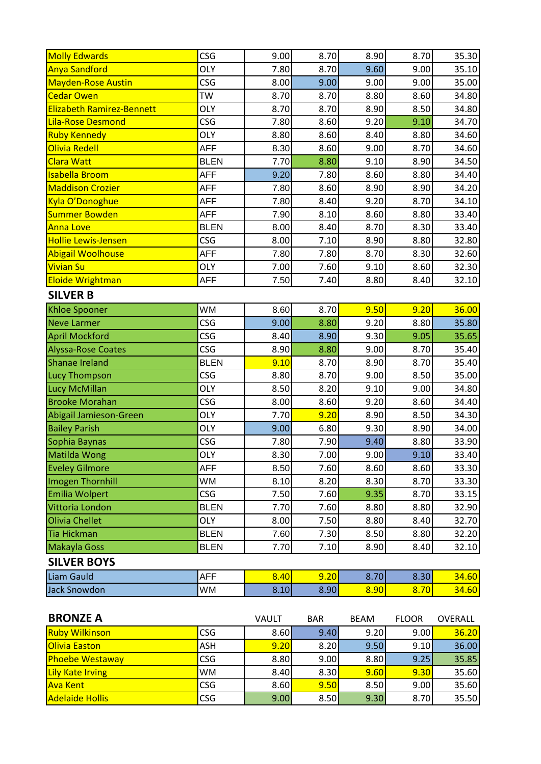| <b>Molly Edwards</b>             | <b>CSG</b>  | 9.00  | 8.70       | 8.90        | 8.70         | 35.30   |
|----------------------------------|-------------|-------|------------|-------------|--------------|---------|
| <b>Anya Sandford</b>             | <b>OLY</b>  | 7.80  | 8.70       | 9.60        | 9.00         | 35.10   |
| <b>Mayden-Rose Austin</b>        | <b>CSG</b>  | 8.00  | 9.00       | 9.00        | 9.00         | 35.00   |
| <b>Cedar Owen</b>                | <b>TW</b>   | 8.70  | 8.70       | 8.80        | 8.60         | 34.80   |
| <b>Elizabeth Ramirez-Bennett</b> | <b>OLY</b>  | 8.70  | 8.70       | 8.90        | 8.50         | 34.80   |
| <b>Lila-Rose Desmond</b>         | <b>CSG</b>  | 7.80  | 8.60       | 9.20        | 9.10         | 34.70   |
| <b>Ruby Kennedy</b>              | <b>OLY</b>  | 8.80  | 8.60       | 8.40        | 8.80         | 34.60   |
| Olivia Redell                    | <b>AFF</b>  | 8.30  | 8.60       | 9.00        | 8.70         | 34.60   |
| <b>Clara Watt</b>                | <b>BLEN</b> | 7.70  | 8.80       | 9.10        | 8.90         | 34.50   |
| <b>Isabella Broom</b>            | <b>AFF</b>  | 9.20  | 7.80       | 8.60        | 8.80         | 34.40   |
| <b>Maddison Crozier</b>          | <b>AFF</b>  | 7.80  | 8.60       | 8.90        | 8.90         | 34.20   |
| Kyla O'Donoghue                  | <b>AFF</b>  | 7.80  | 8.40       | 9.20        | 8.70         | 34.10   |
| <b>Summer Bowden</b>             | <b>AFF</b>  | 7.90  | 8.10       | 8.60        | 8.80         | 33.40   |
| <b>Anna Love</b>                 | <b>BLEN</b> | 8.00  | 8.40       | 8.70        | 8.30         | 33.40   |
| <b>Hollie Lewis-Jensen</b>       | <b>CSG</b>  | 8.00  | 7.10       | 8.90        | 8.80         | 32.80   |
| <b>Abigail Woolhouse</b>         | <b>AFF</b>  | 7.80  | 7.80       | 8.70        | 8.30         | 32.60   |
| <b>Vivian Su</b>                 | <b>OLY</b>  | 7.00  | 7.60       | 9.10        | 8.60         | 32.30   |
| <b>Eloide Wrightman</b>          | <b>AFF</b>  | 7.50  | 7.40       | 8.80        | 8.40         | 32.10   |
| <b>SILVER B</b>                  |             |       |            |             |              |         |
| <b>Khloe Spooner</b>             | <b>WM</b>   | 8.60  | 8.70       | 9.50        | 9.20         | 36.00   |
| <b>Neve Larmer</b>               | <b>CSG</b>  | 9.00  | 8.80       | 9.20        | 8.80         | 35.80   |
| <b>April Mockford</b>            | <b>CSG</b>  | 8.40  | 8.90       | 9.30        | 9.05         | 35.65   |
| <b>Alyssa-Rose Coates</b>        | <b>CSG</b>  | 8.90  | 8.80       | 9.00        | 8.70         | 35.40   |
| Shanae Ireland                   | <b>BLEN</b> | 9.10  | 8.70       | 8.90        | 8.70         | 35.40   |
| <b>Lucy Thompson</b>             | <b>CSG</b>  | 8.80  | 8.70       | 9.00        | 8.50         | 35.00   |
| Lucy McMillan                    | <b>OLY</b>  | 8.50  | 8.20       | 9.10        | 9.00         | 34.80   |
| <b>Brooke Morahan</b>            | <b>CSG</b>  | 8.00  | 8.60       | 9.20        | 8.60         | 34.40   |
| Abigail Jamieson-Green           | <b>OLY</b>  | 7.70  | 9.20       | 8.90        | 8.50         | 34.30   |
| <b>Bailey Parish</b>             | <b>OLY</b>  | 9.00  | 6.80       | 9.30        | 8.90         | 34.00   |
| Sophia Baynas                    | <b>CSG</b>  | 7.80  | 7.90       | 9.40        | 8.80         | 33.90   |
| Matilda Wong                     | <b>OLY</b>  | 8.30  | 7.00       | 9.00        | 9.10         | 33.40   |
| <b>Eveley Gilmore</b>            | AFF         | 8.50  | 7.60       | 8.60        | 8.60         | 33.30   |
| Imogen Thornhill                 | WМ          | 8.10  | 8.20       | 8.30        | 8.70         | 33.30   |
| <b>Emilia Wolpert</b>            | <b>CSG</b>  | 7.50  | 7.60       | 9.35        | 8.70         | 33.15   |
| Vittoria London                  | <b>BLEN</b> | 7.70  | 7.60       | 8.80        | 8.80         | 32.90   |
| Olivia Chellet                   | <b>OLY</b>  | 8.00  | 7.50       | 8.80        | 8.40         | 32.70   |
| <b>Tia Hickman</b>               | <b>BLEN</b> | 7.60  | 7.30       | 8.50        | 8.80         | 32.20   |
| Makayla Goss                     | <b>BLEN</b> | 7.70  | 7.10       | 8.90        | 8.40         | 32.10   |
| <b>SILVER BOYS</b>               |             |       |            |             |              |         |
| Liam Gauld                       | <b>AFF</b>  | 8.40  | 9.20       | 8.70        | 8.30         | 34.60   |
| <b>Jack Snowdon</b>              | WM          | 8.10  | 8.90       | 8.90        | 8.70         | 34.60   |
|                                  |             |       |            |             |              |         |
| <b>BRONZE A</b>                  |             | VAULT | <b>BAR</b> | <b>BEAM</b> | <b>FLOOR</b> | OVERALL |
| <b>Ruby Wilkinson</b>            | <b>CSG</b>  | 8.60  | 9.40       | 9.20        | 9.00         | 36.20   |
| <b>Olivia Easton</b>             | ASH         | 9.20  | 8.20       | 9.50        | 9.10         | 36.00   |
| <b>Phoebe Westaway</b>           | <b>CSG</b>  | 8.80  | 9.00       | 8.80        | 9.25         | 35.85   |
| Lily Kate Irving                 | WM          | 8.40  | 8.30       | 9.60        | 9.30         | 35.60   |
| <b>Ava Kent</b>                  | <b>CSG</b>  | 8.60  | 9.50       | 8.50        | 9.00         | 35.60   |
| <b>Adelaide Hollis</b>           | CSG         | 9.00  | 8.50       | 9.30        | 8.70         | 35.50   |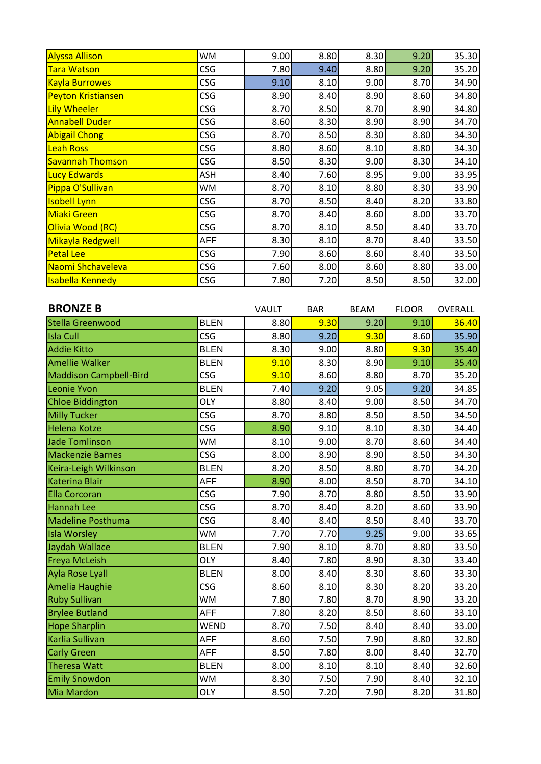| <b>Alyssa Allison</b>     | <b>WM</b>  | 9.00 | 8.80 | 8.30 | 9.20 | 35.30 |
|---------------------------|------------|------|------|------|------|-------|
| <b>Tara Watson</b>        | <b>CSG</b> | 7.80 | 9.40 | 8.80 | 9.20 | 35.20 |
| <b>Kayla Burrowes</b>     | <b>CSG</b> | 9.10 | 8.10 | 9.00 | 8.70 | 34.90 |
| <b>Peyton Kristiansen</b> | <b>CSG</b> | 8.90 | 8.40 | 8.90 | 8.60 | 34.80 |
| Lily Wheeler              | <b>CSG</b> | 8.70 | 8.50 | 8.70 | 8.90 | 34.80 |
| <b>Annabell Duder</b>     | <b>CSG</b> | 8.60 | 8.30 | 8.90 | 8.90 | 34.70 |
| <b>Abigail Chong</b>      | <b>CSG</b> | 8.70 | 8.50 | 8.30 | 8.80 | 34.30 |
| Leah Ross                 | <b>CSG</b> | 8.80 | 8.60 | 8.10 | 8.80 | 34.30 |
| <b>Savannah Thomson</b>   | <b>CSG</b> | 8.50 | 8.30 | 9.00 | 8.30 | 34.10 |
| <b>Lucy Edwards</b>       | ASH        | 8.40 | 7.60 | 8.95 | 9.00 | 33.95 |
| Pippa O'Sullivan          | WM         | 8.70 | 8.10 | 8.80 | 8.30 | 33.90 |
| <b>Isobell Lynn</b>       | CSG        | 8.70 | 8.50 | 8.40 | 8.20 | 33.80 |
| <b>Miaki Green</b>        | <b>CSG</b> | 8.70 | 8.40 | 8.60 | 8.00 | 33.70 |
| Olivia Wood (RC)          | <b>CSG</b> | 8.70 | 8.10 | 8.50 | 8.40 | 33.70 |
| Mikayla Redgwell          | <b>AFF</b> | 8.30 | 8.10 | 8.70 | 8.40 | 33.50 |
| <b>Petal Lee</b>          | <b>CSG</b> | 7.90 | 8.60 | 8.60 | 8.40 | 33.50 |
| Naomi Shchaveleva         | <b>CSG</b> | 7.60 | 8.00 | 8.60 | 8.80 | 33.00 |
| <b>Isabella Kennedy</b>   | <b>CSG</b> | 7.80 | 7.20 | 8.50 | 8.50 | 32.00 |

| <b>BRONZE B</b>               |             | VAULT | <b>BAR</b> | <b>BEAM</b> | <b>FLOOR</b> | <b>OVERALL</b> |
|-------------------------------|-------------|-------|------------|-------------|--------------|----------------|
| Stella Greenwood              | <b>BLEN</b> | 8.80  | 9.30       | 9.20        | 9.10         | 36.40          |
| <b>Isla Cull</b>              | CSG         | 8.80  | 9.20       | 9.30        | 8.60         | 35.90          |
| <b>Addie Kitto</b>            | <b>BLEN</b> | 8.30  | 9.00       | 8.80        | 9.30         | 35.40          |
| <b>Amellie Walker</b>         | <b>BLEN</b> | 9.10  | 8.30       | 8.90        | 9.10         | 35.40          |
| <b>Maddison Campbell-Bird</b> | <b>CSG</b>  | 9.10  | 8.60       | 8.80        | 8.70         | 35.20          |
| Leonie Yvon                   | <b>BLEN</b> | 7.40  | 9.20       | 9.05        | 9.20         | 34.85          |
| <b>Chloe Biddington</b>       | <b>OLY</b>  | 8.80  | 8.40       | 9.00        | 8.50         | 34.70          |
| <b>Milly Tucker</b>           | CSG         | 8.70  | 8.80       | 8.50        | 8.50         | 34.50          |
| Helena Kotze                  | <b>CSG</b>  | 8.90  | 9.10       | 8.10        | 8.30         | 34.40          |
| <b>Jade Tomlinson</b>         | WM          | 8.10  | 9.00       | 8.70        | 8.60         | 34.40          |
| <b>Mackenzie Barnes</b>       | <b>CSG</b>  | 8.00  | 8.90       | 8.90        | 8.50         | 34.30          |
| Keira-Leigh Wilkinson         | <b>BLEN</b> | 8.20  | 8.50       | 8.80        | 8.70         | 34.20          |
| Katerina Blair                | <b>AFF</b>  | 8.90  | 8.00       | 8.50        | 8.70         | 34.10          |
| <b>Ella Corcoran</b>          | <b>CSG</b>  | 7.90  | 8.70       | 8.80        | 8.50         | 33.90          |
| <b>Hannah Lee</b>             | <b>CSG</b>  | 8.70  | 8.40       | 8.20        | 8.60         | 33.90          |
| Madeline Posthuma             | CSG         | 8.40  | 8.40       | 8.50        | 8.40         | 33.70          |
| Isla Worsley                  | WM          | 7.70  | 7.70       | 9.25        | 9.00         | 33.65          |
| Jaydah Wallace                | <b>BLEN</b> | 7.90  | 8.10       | 8.70        | 8.80         | 33.50          |
| <b>Freya McLeish</b>          | <b>OLY</b>  | 8.40  | 7.80       | 8.90        | 8.30         | 33.40          |
| Ayla Rose Lyall               | <b>BLEN</b> | 8.00  | 8.40       | 8.30        | 8.60         | 33.30          |
| Amelia Haughie                | CSG         | 8.60  | 8.10       | 8.30        | 8.20         | 33.20          |
| <b>Ruby Sullivan</b>          | WM          | 7.80  | 7.80       | 8.70        | 8.90         | 33.20          |
| <b>Brylee Butland</b>         | <b>AFF</b>  | 7.80  | 8.20       | 8.50        | 8.60         | 33.10          |
| <b>Hope Sharplin</b>          | <b>WEND</b> | 8.70  | 7.50       | 8.40        | 8.40         | 33.00          |
| Karlia Sullivan               | <b>AFF</b>  | 8.60  | 7.50       | 7.90        | 8.80         | 32.80          |
| <b>Carly Green</b>            | <b>AFF</b>  | 8.50  | 7.80       | 8.00        | 8.40         | 32.70          |
| Theresa Watt                  | <b>BLEN</b> | 8.00  | 8.10       | 8.10        | 8.40         | 32.60          |
| <b>Emily Snowdon</b>          | WM          | 8.30  | 7.50       | 7.90        | 8.40         | 32.10          |
| Mia Mardon                    | <b>OLY</b>  | 8.50  | 7.20       | 7.90        | 8.20         | 31.80          |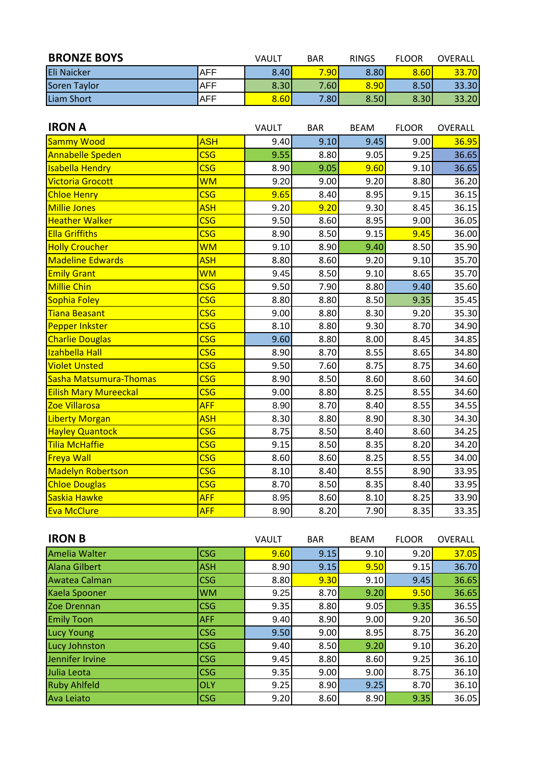| <b>BRONZE BOYS</b> |            | VAULT | <b>BAR</b> | <b>RINGS</b> | <b>FLOOR</b> | OVERALL |
|--------------------|------------|-------|------------|--------------|--------------|---------|
| <b>Eli Naicker</b> | <b>AFF</b> | 8.40  | 7.90       | 8.80         | 8.60         | 33.70   |
| Soren Taylor       | <b>AFF</b> | 8.30  | 7.60       | 8.90         | 8.50         | 33.30   |
| Liam Short         | <b>AFF</b> | 8.60  | 7.80       | 8.50         | 8.30         | 33.20   |

| <b>IRON A</b>                |                           | VAULT | <b>BAR</b> | <b>BEAM</b> | <b>FLOOR</b> | OVERALL |
|------------------------------|---------------------------|-------|------------|-------------|--------------|---------|
| Sammy Wood                   | <b>ASH</b>                | 9.40  | 9.10       | 9.45        | 9.00         | 36.95   |
| <b>Annabelle Speden</b>      | <b>CSG</b>                | 9.55  | 8.80       | 9.05        | 9.25         | 36.65   |
| <b>Isabella Hendry</b>       | <b>CSG</b>                | 8.90  | 9.05       | 9.60        | 9.10         | 36.65   |
| <b>Victoria Grocott</b>      | <b>WM</b>                 | 9.20  | 9.00       | 9.20        | 8.80         | 36.20   |
| <b>Chloe Henry</b>           | <b>CSG</b>                | 9.65  | 8.40       | 8.95        | 9.15         | 36.15   |
| <b>Millie Jones</b>          | <b>ASH</b>                | 9.20  | 9.20       | 9.30        | 8.45         | 36.15   |
| <b>Heather Walker</b>        | <b>CSG</b>                | 9.50  | 8.60       | 8.95        | 9.00         | 36.05   |
| <b>Ella Griffiths</b>        | <b>CSG</b>                | 8.90  | 8.50       | 9.15        | 9.45         | 36.00   |
| <b>Holly Croucher</b>        | <b>WM</b>                 | 9.10  | 8.90       | 9.40        | 8.50         | 35.90   |
| <b>Madeline Edwards</b>      | <b>ASH</b>                | 8.80  | 8.60       | 9.20        | 9.10         | 35.70   |
| <b>Emily Grant</b>           | <b>WM</b>                 | 9.45  | 8.50       | 9.10        | 8.65         | 35.70   |
| <b>Millie Chin</b>           | <b>CSG</b>                | 9.50  | 7.90       | 8.80        | 9.40         | 35.60   |
| <b>Sophia Foley</b>          | <b>CSG</b>                | 8.80  | 8.80       | 8.50        | 9.35         | 35.45   |
| <b>Tiana Beasant</b>         | <b>CSG</b>                | 9.00  | 8.80       | 8.30        | 9.20         | 35.30   |
| <b>Pepper Inkster</b>        | <b>CSG</b>                | 8.10  | 8.80       | 9.30        | 8.70         | 34.90   |
| <b>Charlie Douglas</b>       | <b>CSG</b>                | 9.60  | 8.80       | 8.00        | 8.45         | 34.85   |
| Izahbella Hall               | <b>CSG</b>                | 8.90  | 8.70       | 8.55        | 8.65         | 34.80   |
| <b>Violet Unsted</b>         | <b>CSG</b>                | 9.50  | 7.60       | 8.75        | 8.75         | 34.60   |
| Sasha Matsumura-Thomas       | <b>CSG</b>                | 8.90  | 8.50       | 8.60        | 8.60         | 34.60   |
| <b>Eilish Mary Mureeckal</b> | <b>CSG</b>                | 9.00  | 8.80       | 8.25        | 8.55         | 34.60   |
| Zoe Villarosa                | <b>AFF</b>                | 8.90  | 8.70       | 8.40        | 8.55         | 34.55   |
| <b>Liberty Morgan</b>        | <b>ASH</b>                | 8.30  | 8.80       | 8.90        | 8.30         | 34.30   |
| <b>Hayley Quantock</b>       | <b>CSG</b>                | 8.75  | 8.50       | 8.40        | 8.60         | 34.25   |
| Tilia McHaffie               | <b>CSG</b>                | 9.15  | 8.50       | 8.35        | 8.20         | 34.20   |
| <b>Freya Wall</b>            | <b>CSG</b>                | 8.60  | 8.60       | 8.25        | 8.55         | 34.00   |
| <b>Madelyn Robertson</b>     | <b>CSG</b>                | 8.10  | 8.40       | 8.55        | 8.90         | 33.95   |
| <b>Chloe Douglas</b>         | $\overline{\mathsf{CSG}}$ | 8.70  | 8.50       | 8.35        | 8.40         | 33.95   |
| Saskia Hawke                 | <b>AFF</b>                | 8.95  | 8.60       | 8.10        | 8.25         | 33.90   |
| <b>Eva McClure</b>           | <b>AFF</b>                | 8.90  | 8.20       | 7.90        | 8.35         | 33.35   |

| <b>IRON B</b>        |            | VAULT | <b>BAR</b> | <b>BEAM</b> | <b>FLOOR</b> | OVERALL |
|----------------------|------------|-------|------------|-------------|--------------|---------|
| Amelia Walter        | <b>CSG</b> | 9.60  | 9.15       | 9.10        | 9.20         | 37.05   |
| <b>Alana Gilbert</b> | <b>ASH</b> | 8.90  | 9.15       | 9.50        | 9.15         | 36.70   |
| Awatea Calman        | <b>CSG</b> | 8.80  | 9.30       | 9.10        | 9.45         | 36.65   |
| Kaela Spooner        | <b>WM</b>  | 9.25  | 8.70       | 9.20        | 9.50         | 36.65   |
| Zoe Drennan          | <b>CSG</b> | 9.35  | 8.80       | 9.05        | 9.35         | 36.55   |
| <b>Emily Toon</b>    | <b>AFF</b> | 9.40  | 8.90       | 9.00        | 9.20         | 36.50   |
| <b>Lucy Young</b>    | <b>CSG</b> | 9.50  | 9.00       | 8.95        | 8.75         | 36.20   |
| Lucy Johnston        | <b>CSG</b> | 9.40  | 8.50       | 9.20        | 9.10         | 36.20   |
| Jennifer Irvine      | <b>CSG</b> | 9.45  | 8.80       | 8.60        | 9.25         | 36.10   |
| Julia Leota          | <b>CSG</b> | 9.35  | 9.00       | 9.00        | 8.75         | 36.10   |
| <b>Ruby Ahlfeld</b>  | <b>OLY</b> | 9.25  | 8.90       | 9.25        | 8.70         | 36.10   |
| Ava Leiato           | <b>CSG</b> | 9.20  | 8.60       | 8.90        | 9.35         | 36.05   |